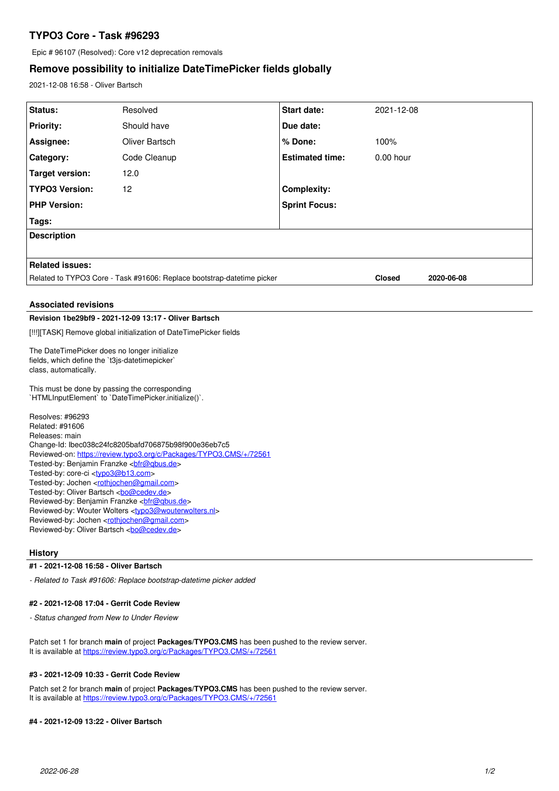# **TYPO3 Core - Task #96293**

Epic # 96107 (Resolved): Core v12 deprecation removals

## **Remove possibility to initialize DateTimePicker fields globally**

2021-12-08 16:58 - Oliver Bartsch

| Status:                                                                                                                                                                                                                                                                                                                                                                                                                                                                                                                                                                                                                       | Resolved       | Start date:            | 2021-12-08    |            |
|-------------------------------------------------------------------------------------------------------------------------------------------------------------------------------------------------------------------------------------------------------------------------------------------------------------------------------------------------------------------------------------------------------------------------------------------------------------------------------------------------------------------------------------------------------------------------------------------------------------------------------|----------------|------------------------|---------------|------------|
| Priority:                                                                                                                                                                                                                                                                                                                                                                                                                                                                                                                                                                                                                     | Should have    | Due date:              |               |            |
| Assignee:                                                                                                                                                                                                                                                                                                                                                                                                                                                                                                                                                                                                                     | Oliver Bartsch | % Done:                | 100%          |            |
| Category:                                                                                                                                                                                                                                                                                                                                                                                                                                                                                                                                                                                                                     | Code Cleanup   | <b>Estimated time:</b> | 0.00 hour     |            |
| <b>Target version:</b>                                                                                                                                                                                                                                                                                                                                                                                                                                                                                                                                                                                                        | 12.0           |                        |               |            |
| <b>TYPO3 Version:</b>                                                                                                                                                                                                                                                                                                                                                                                                                                                                                                                                                                                                         | 12             | Complexity:            |               |            |
| <b>PHP Version:</b>                                                                                                                                                                                                                                                                                                                                                                                                                                                                                                                                                                                                           |                | <b>Sprint Focus:</b>   |               |            |
| Tags:                                                                                                                                                                                                                                                                                                                                                                                                                                                                                                                                                                                                                         |                |                        |               |            |
| <b>Description</b>                                                                                                                                                                                                                                                                                                                                                                                                                                                                                                                                                                                                            |                |                        |               |            |
|                                                                                                                                                                                                                                                                                                                                                                                                                                                                                                                                                                                                                               |                |                        |               |            |
| <b>Related issues:</b>                                                                                                                                                                                                                                                                                                                                                                                                                                                                                                                                                                                                        |                |                        |               |            |
| Related to TYPO3 Core - Task #91606: Replace bootstrap-datetime picker                                                                                                                                                                                                                                                                                                                                                                                                                                                                                                                                                        |                |                        | <b>Closed</b> | 2020-06-08 |
|                                                                                                                                                                                                                                                                                                                                                                                                                                                                                                                                                                                                                               |                |                        |               |            |
| <b>Associated revisions</b>                                                                                                                                                                                                                                                                                                                                                                                                                                                                                                                                                                                                   |                |                        |               |            |
| Revision 1be29bf9 - 2021-12-09 13:17 - Oliver Bartsch                                                                                                                                                                                                                                                                                                                                                                                                                                                                                                                                                                         |                |                        |               |            |
| [!!!][TASK] Remove global initialization of DateTimePicker fields                                                                                                                                                                                                                                                                                                                                                                                                                                                                                                                                                             |                |                        |               |            |
| The DateTimePicker does no longer initialize<br>fields, which define the `t3js-datetimepicker`<br>class, automatically.                                                                                                                                                                                                                                                                                                                                                                                                                                                                                                       |                |                        |               |            |
| This must be done by passing the corresponding<br>`HTMLInputElement` to `DateTimePicker.initialize()`.                                                                                                                                                                                                                                                                                                                                                                                                                                                                                                                        |                |                        |               |            |
| Resolves: #96293<br>Related: #91606<br>Releases: main<br>Change-Id: Ibec038c24fc8205bafd706875b98f900e36eb7c5<br>Reviewed-on: https://review.typo3.org/c/Packages/TYPO3.CMS/+/72561<br>Tested-by: Benjamin Franzke<br>bir@qbus.de><br>Tested-by: core-ci <typo3@b13.com><br/>Tested-by: Jochen <rothjochen@gmail.com><br>Tested-by: Oliver Bartsch <br/> com<br/>Reviewed-by: Benjamin Franzke <br/> chir@gbus.de&gt;<br>Reviewed-by: Wouter Wolters <typo3@wouterwolters.nl><br/>Reviewed-by: Jochen <rothjochen@gmail.com></rothjochen@gmail.com></typo3@wouterwolters.nl></br></br></rothjochen@gmail.com></typo3@b13.com> |                |                        |               |            |

#### **History**

#### **#1 - 2021-12-08 16:58 - Oliver Bartsch**

*- Related to Task #91606: Replace bootstrap-datetime picker added*

#### **#2 - 2021-12-08 17:04 - Gerrit Code Review**

*- Status changed from New to Under Review*

Patch set 1 for branch **main** of project **Packages/TYPO3.CMS** has been pushed to the review server. It is available at <https://review.typo3.org/c/Packages/TYPO3.CMS/+/72561>

### **#3 - 2021-12-09 10:33 - Gerrit Code Review**

Patch set 2 for branch **main** of project **Packages/TYPO3.CMS** has been pushed to the review server. It is available at <https://review.typo3.org/c/Packages/TYPO3.CMS/+/72561>

#### **#4 - 2021-12-09 13:22 - Oliver Bartsch**